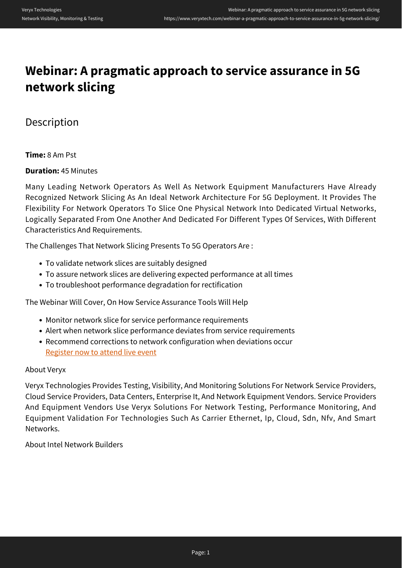# **Webinar: A pragmatic approach to service assurance in 5G network slicing**

# Description

## **Time:** 8 Am Pst

## **Duration:** 45 Minutes

Many Leading Network Operators As Well As Network Equipment Manufacturers Have Already Recognized Network Slicing As An Ideal Network Architecture For 5G Deployment. It Provides The Flexibility For Network Operators To Slice One Physical Network Into Dedicated Virtual Networks, Logically Separated From One Another And Dedicated For Different Types Of Services, With Different Characteristics And Requirements.

The Challenges That Network Slicing Presents To 5G Operators Are :

- To validate network slices are suitably designed
- To assure network slices are delivering expected performance at all times
- To troubleshoot performance degradation for rectification

The Webinar Will Cover, On How Service Assurance Tools Will Help

- Monitor network slice for service performance requirements
- Alert when network slice performance deviates from service requirements
- Recommend corrections to network configuration when deviations occur [Register now to attend live event](https://www.brighttalk.com/webcast/12229/328303)

#### About Veryx

Veryx Technologies Provides Testing, Visibility, And Monitoring Solutions For Network Service Providers, Cloud Service Providers, Data Centers, Enterprise It, And Network Equipment Vendors. Service Providers And Equipment Vendors Use Veryx Solutions For Network Testing, Performance Monitoring, And Equipment Validation For Technologies Such As Carrier Ethernet, Ip, Cloud, Sdn, Nfv, And Smart Networks.

About Intel Network Builders